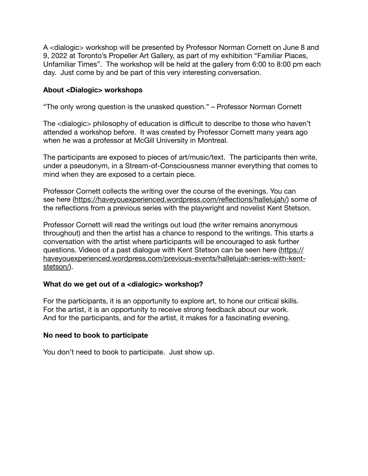A <dialogic> workshop will be presented by Professor Norman Cornett on June 8 and 9, 2022 at Toronto's Propeller Art Gallery, as part of my exhibition "Familiar Places, Unfamiliar Times". The workshop will be held at the gallery from 6:00 to 8:00 pm each day. Just come by and be part of this very interesting conversation.

## **About <Dialogic> workshops**

"The only wrong question is the unasked question." – Professor Norman Cornett

The <dialogic> philosophy of education is difficult to describe to those who haven't attended a workshop before. It was created by Professor Cornett many years ago when he was a professor at McGill University in Montreal.

The participants are exposed to pieces of art/music/text. The participants then write, under a pseudonym, in a Stream-of-Consciousness manner everything that comes to mind when they are exposed to a certain piece.

Professor Cornett collects the writing over the course of the evenings. You can see [here](https://haveyouexperienced.wordpress.com/reflections/hallelujah/) [\(https://haveyouexperienced.wordpress.com/reflections/hallelujah/\)](https://haveyouexperienced.wordpress.com/reflections/hallelujah/) some of the reflections from a previous series with the playwright and novelist Kent Stetson.

Professor Cornett will read the writings out loud (the writer remains anonymous throughout) and then the artist has a chance to respond to the writings. This starts a conversation with the artist where participants will be encouraged to ask further questions. Videos of a past dialogue with Kent Stetson can be seen [here](https://haveyouexperienced.wordpress.com/previous-events/hallelujah-series-with-kent-stetson/) ([https://](https://haveyouexperienced.wordpress.com/previous-events/hallelujah-series-with-kent-stetson/) [haveyouexperienced.wordpress.com/previous-events/hallelujah-series-with-kent](https://haveyouexperienced.wordpress.com/previous-events/hallelujah-series-with-kent-stetson/)[stetson/\)](https://haveyouexperienced.wordpress.com/previous-events/hallelujah-series-with-kent-stetson/).

## **What do we get out of a <dialogic> workshop?**

For the participants, it is an opportunity to explore art, to hone our critical skills. For the artist, it is an opportunity to receive strong feedback about our work. And for the participants, and for the artist, it makes for a fascinating evening.

## **No need to book to participate**

You don't need to book to participate. Just show up.